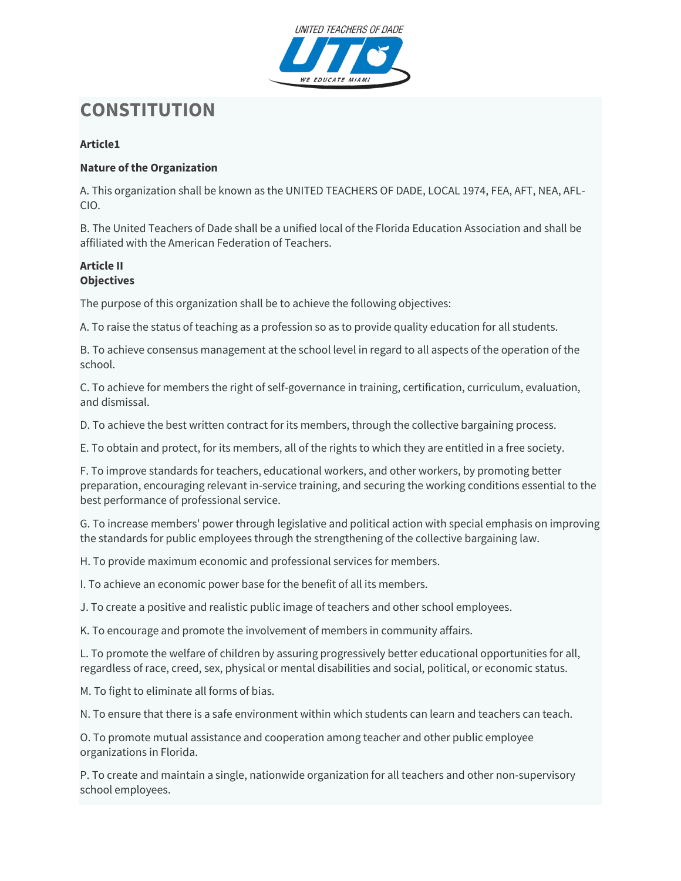

# **CONSTITUTION**

# **Article1**

## **Nature of the Organization**

A. This organization shall be known as the UNITED TEACHERS OF DADE, LOCAL 1974, FEA, AFT, NEA, AFL-CIO.

B. The United Teachers of Dade shall be a unified local of the Florida Education Association and shall be affiliated with the American Federation of Teachers.

#### **Article II Objectives**

The purpose of this organization shall be to achieve the following objectives:

A. To raise the status of teaching as a profession so as to provide quality education for all students.

B. To achieve consensus management at the school level in regard to all aspects of the operation of the school.

C. To achieve for members the right of self-governance in training, certification, curriculum, evaluation, and dismissal.

D. To achieve the best written contract for its members, through the collective bargaining process.

E. To obtain and protect, for its members, all of the rights to which they are entitled in a free society.

F. To improve standards for teachers, educational workers, and other workers, by promoting better preparation, encouraging relevant in-service training, and securing the working conditions essential to the best performance of professional service.

G. To increase members' power through legislative and political action with special emphasis on improving the standards for public employees through the strengthening of the collective bargaining law.

H. To provide maximum economic and professional services for members.

I. To achieve an economic power base for the benefit of all its members.

J. To create a positive and realistic public image of teachers and other school employees.

K. To encourage and promote the involvement of members in community affairs.

L. To promote the welfare of children by assuring progressively better educational opportunities for all, regardless of race, creed, sex, physical or mental disabilities and social, political, or economic status.

M. To fight to eliminate all forms of bias.

N. To ensure that there is a safe environment within which students can learn and teachers can teach.

O. To promote mutual assistance and cooperation among teacher and other public employee organizations in Florida.

P. To create and maintain a single, nationwide organization for all teachers and other non-supervisory school employees.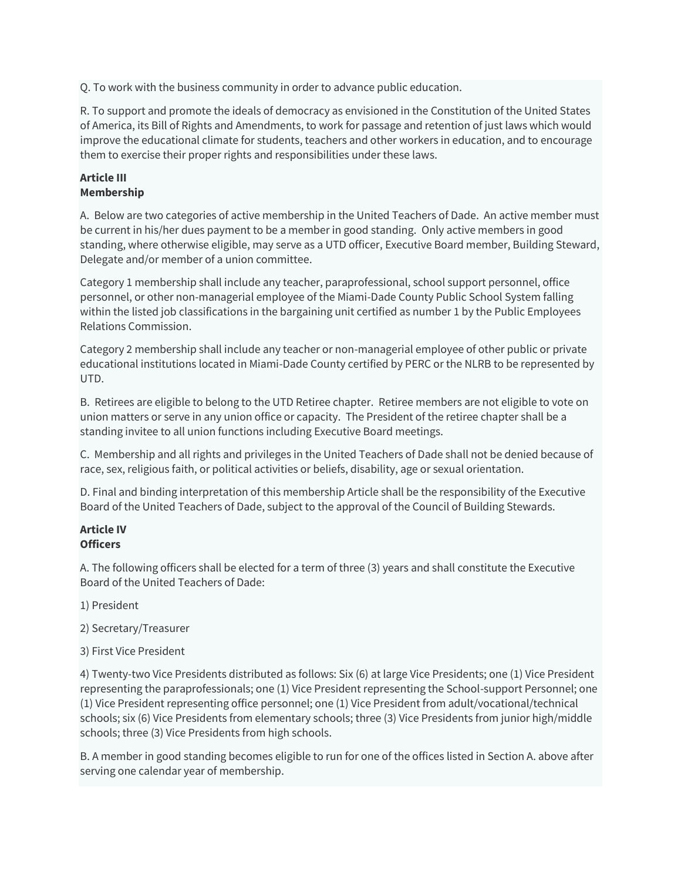Q. To work with the business community in order to advance public education.

R. To support and promote the ideals of democracy as envisioned in the Constitution of the United States of America, its Bill of Rights and Amendments, to work for passage and retention of just laws which would improve the educational climate for students, teachers and other workers in education, and to encourage them to exercise their proper rights and responsibilities under these laws.

#### **Article III Membership**

A. Below are two categories of active membership in the United Teachers of Dade. An active member must be current in his/her dues payment to be a member in good standing. Only active members in good standing, where otherwise eligible, may serve as a UTD officer, Executive Board member, Building Steward, Delegate and/or member of a union committee.

Category 1 membership shall include any teacher, paraprofessional, school support personnel, office personnel, or other non-managerial employee of the Miami-Dade County Public School System falling within the listed job classifications in the bargaining unit certified as number 1 by the Public Employees Relations Commission.

Category 2 membership shall include any teacher or non-managerial employee of other public or private educational institutions located in Miami-Dade County certified by PERC or the NLRB to be represented by UTD.

B. Retirees are eligible to belong to the UTD Retiree chapter. Retiree members are not eligible to vote on union matters or serve in any union office or capacity. The President of the retiree chapter shall be a standing invitee to all union functions including Executive Board meetings.

C. Membership and all rights and privileges in the United Teachers of Dade shall not be denied because of race, sex, religious faith, or political activities or beliefs, disability, age or sexual orientation.

D. Final and binding interpretation of this membership Article shall be the responsibility of the Executive Board of the United Teachers of Dade, subject to the approval of the Council of Building Stewards.

## **Article IV Officers**

A. The following officers shall be elected for a term of three (3) years and shall constitute the Executive Board of the United Teachers of Dade:

- 1) President
- 2) Secretary/Treasurer
- 3) First Vice President

4) Twenty-two Vice Presidents distributed as follows: Six (6) at large Vice Presidents; one (1) Vice President representing the paraprofessionals; one (1) Vice President representing the School-support Personnel; one (1) Vice President representing office personnel; one (1) Vice President from adult/vocational/technical schools; six (6) Vice Presidents from elementary schools; three (3) Vice Presidents from junior high/middle schools; three (3) Vice Presidents from high schools.

B. A member in good standing becomes eligible to run for one of the offices listed in Section A. above after serving one calendar year of membership.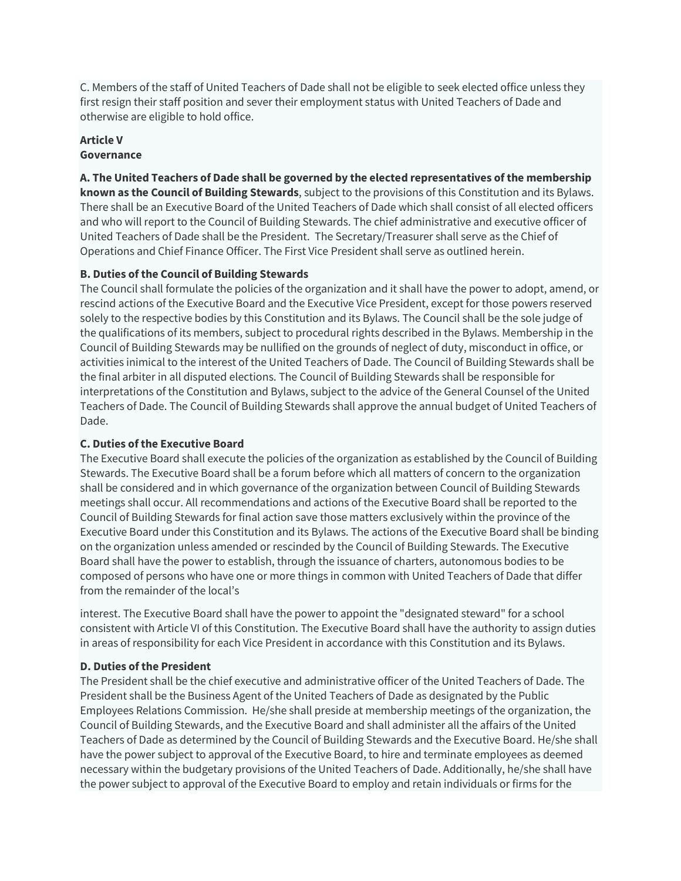C. Members of the staff of United Teachers of Dade shall not be eligible to seek elected office unless they first resign their staff position and sever their employment status with United Teachers of Dade and otherwise are eligible to hold office.

#### **Article V Governance**

**A. The United Teachers of Dade shall be governed by the elected representatives of the membership known as the Council of Building Stewards**, subject to the provisions of this Constitution and its Bylaws. There shall be an Executive Board of the United Teachers of Dade which shall consist of all elected officers and who will report to the Council of Building Stewards. The chief administrative and executive officer of United Teachers of Dade shall be the President. The Secretary/Treasurer shall serve as the Chief of Operations and Chief Finance Officer. The First Vice President shall serve as outlined herein.

## **B. Duties of the Council of Building Stewards**

The Council shall formulate the policies of the organization and it shall have the power to adopt, amend, or rescind actions of the Executive Board and the Executive Vice President, except for those powers reserved solely to the respective bodies by this Constitution and its Bylaws. The Council shall be the sole judge of the qualifications of its members, subject to procedural rights described in the Bylaws. Membership in the Council of Building Stewards may be nullified on the grounds of neglect of duty, misconduct in office, or activities inimical to the interest of the United Teachers of Dade. The Council of Building Stewards shall be the final arbiter in all disputed elections. The Council of Building Stewards shall be responsible for interpretations of the Constitution and Bylaws, subject to the advice of the General Counsel of the United Teachers of Dade. The Council of Building Stewards shall approve the annual budget of United Teachers of Dade.

## **C. Duties of the Executive Board**

The Executive Board shall execute the policies of the organization as established by the Council of Building Stewards. The Executive Board shall be a forum before which all matters of concern to the organization shall be considered and in which governance of the organization between Council of Building Stewards meetings shall occur. All recommendations and actions of the Executive Board shall be reported to the Council of Building Stewards for final action save those matters exclusively within the province of the Executive Board under this Constitution and its Bylaws. The actions of the Executive Board shall be binding on the organization unless amended or rescinded by the Council of Building Stewards. The Executive Board shall have the power to establish, through the issuance of charters, autonomous bodies to be composed of persons who have one or more things in common with United Teachers of Dade that differ from the remainder of the local's

interest. The Executive Board shall have the power to appoint the "designated steward" for a school consistent with Article VI of this Constitution. The Executive Board shall have the authority to assign duties in areas of responsibility for each Vice President in accordance with this Constitution and its Bylaws.

## **D. Duties of the President**

The President shall be the chief executive and administrative officer of the United Teachers of Dade. The President shall be the Business Agent of the United Teachers of Dade as designated by the Public Employees Relations Commission. He/she shall preside at membership meetings of the organization, the Council of Building Stewards, and the Executive Board and shall administer all the affairs of the United Teachers of Dade as determined by the Council of Building Stewards and the Executive Board. He/she shall have the power subject to approval of the Executive Board, to hire and terminate employees as deemed necessary within the budgetary provisions of the United Teachers of Dade. Additionally, he/she shall have the power subject to approval of the Executive Board to employ and retain individuals or firms for the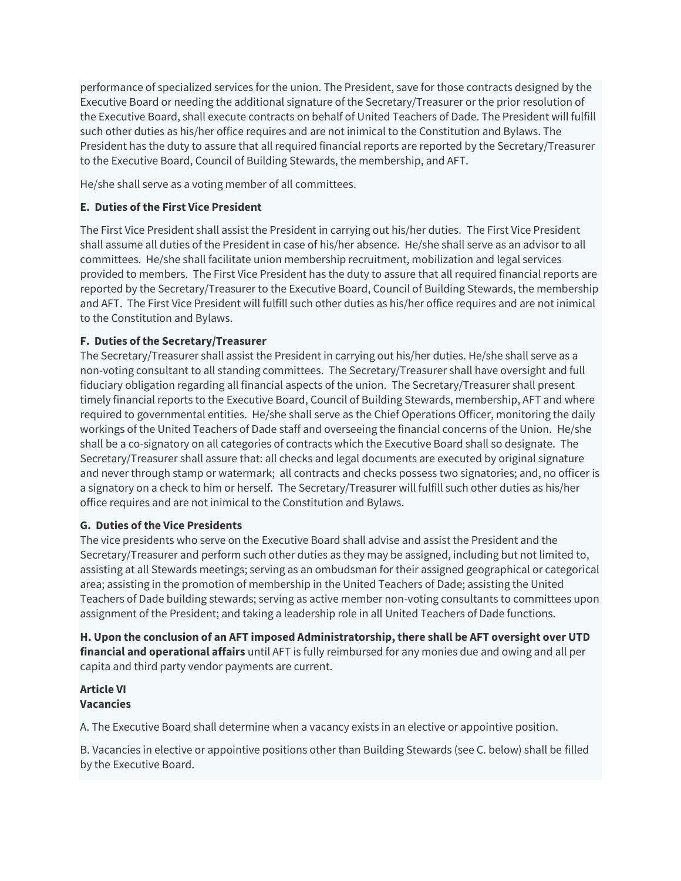performance of specialized services for the union. The President, save for those contracts designed by the Executive Board or needing the additional signature of the Secretary/Treasurer or the prior resolution of the Executive Board, shall execute contracts on behalf of United Teachers of Dade. The President will fulfill such other duties as his/her office requires and are not inimical to the Constitution and Bylaws. The President has the duty to assure that all required financial reports are reported by the Secretary/Treasurer to the Executive Board, Council of Building Stewards, the membership, and AFT.

He/she shall serve as a voting member of all committees.

## **E. Duties of the First Vice President**

The First Vice President shall assist the President in carrying out his/her duties. The First Vice President shall assume all duties of the President in case of his/her absence. He/she shall serve as an advisor to all committees. He/she shall facilitate union membership recruitment, mobilization and legal services provided to members. The First Vice President has the duty to assure that all required financial reports are reported by the Secretary/Treasurer to the Executive Board, Council of Building Stewards, the membership and AFT. The First Vice President will fulfill such other duties as his/her office requires and are not inimical to the Constitution and Bylaws.

#### **F. Duties of the Secretary/Treasurer**

The Secretary/Treasurer shall assist the President in carrying out his/her duties. He/she shall serve as a non-voting consultant to all standing committees. The Secretary/Treasurer shall have oversight and full fiduciary obligation regarding all financial aspects of the union. The Secretary/Treasurer shall present timely financial reports to the Executive Board, Council of Building Stewards, membership, AFT and where required to governmental entities. He/she shall serve as the Chief Operations Officer, monitoring the daily workings of the United Teachers of Dade staff and overseeing the financial concerns of the Union. He/she shall be a co-signatory on all categories of contracts which the Executive Board shall so designate. The Secretary/Treasurer shall assure that: all checks and legal documents are executed by original signature and never through stamp or watermark; all contracts and checks possess two signatories; and, no officer is a signatory on a check to him or herself. The Secretary/Treasurer will fulfill such other duties as his/her office requires and are not inimical to the Constitution and Bylaws.

#### **G. Duties of the Vice Presidents**

The vice presidents who serve on the Executive Board shall advise and assist the President and the Secretary/Treasurer and perform such other duties as they may be assigned, including but not limited to, assisting at all Stewards meetings; serving as an ombudsman for their assigned geographical or categorical area; assisting in the promotion of membership in the United Teachers of Dade; assisting the United Teachers of Dade building stewards; serving as active member non-voting consultants to committees upon assignment of the President; and taking a leadership role in all United Teachers of Dade functions.

**H. Upon the conclusion of an AFT imposed Administratorship, there shall be AFT oversight over UTD financial and operational affairs** until AFT is fully reimbursed for any monies due and owing and all per capita and third party vendor payments are current.

#### **Article VI Vacancies**

A. The Executive Board shall determine when a vacancy exists in an elective or appointive position.

B. Vacancies in elective or appointive positions other than Building Stewards (see C. below) shall be filled by the Executive Board.